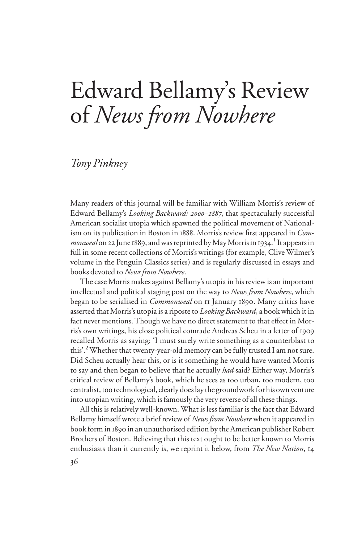# Edward Bellamy's Review of *News from Nowhere*

### *Tony Pinkney*

Many readers of this journal will be familiar with William Morris's review of Edward Bellamy's *Looking Backward: 2000–1887*, that spectacularly successful American socialist utopia which spawned the political movement of Nationalism on its publication in Boston in 1888. Morris's review first appeared in *Com*monweal on 22 June 1889, and was reprinted by May Morris in 1934.<sup>1</sup> It appears in full in some recent collections of Morris's writings (for example, Clive Wilmer's volume in the Penguin Classics series) and is regularly discussed in essays and books devoted to *News from Nowhere*.

The case Morris makes against Bellamy's utopia in his review is an important intellectual and political staging post on the way to *News from Nowhere*, which began to be serialised in *Commonweal* on 11 January 1890. Many critics have asserted that Morris's utopia is a riposte to *Looking Backward*, a book which it in fact never mentions. Though we have no direct statement to that effect in Morris's own writings, his close political comrade Andreas Scheu in a letter of 1909 recalled Morris as saying: 'I must surely write something as a counterblast to this'.<sup>2</sup> Whether that twenty-year-old memory can be fully trusted I am not sure. Did Scheu actually hear this, or is it something he would have wanted Morris to say and then began to believe that he actually *had* said? Either way, Morris's critical review of Bellamy's book, which he sees as too urban, too modern, too centralist, too technological, clearly does lay the groundwork for his own venture into utopian writing, which is famously the very reverse of all these things.

All this is relatively well-known. What is less familiar is the fact that Edward Bellamy himself wrote a brief review of *News from Nowhere* when it appeared in book form in 1890 in an unauthorised edition by the American publisher Robert Brothers of Boston. Believing that this text ought to be better known to Morris enthusiasts than it currently is, we reprint it below, from *The New Nation*, 14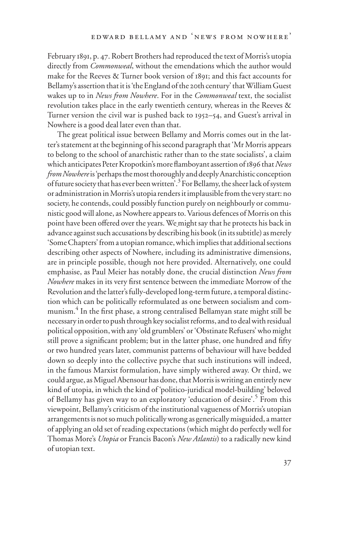February 1891, p. 47. Robert Brothers had reproduced the text of Morris's utopia directly from *Commonweal*, without the emendations which the author would make for the Reeves & Turner book version of 1891; and this fact accounts for Bellamy's assertion that it is 'the England of the 20th century' that William Guest wakes up to in *News from Nowhere*. For in the *Commonweal* text, the socialist revolution takes place in the early twentieth century, whereas in the Reeves & Turner version the civil war is pushed back to 1952–54, and Guest's arrival in Nowhere is a good deal later even than that.

The great political issue between Bellamy and Morris comes out in the latter's statement at the beginning of his second paragraph that 'Mr Morris appears to belong to the school of anarchistic rather than to the state socialists', a claim which anticipates Peter Kropotkin's more flamboyant assertion of 1896 that *News from Nowhere* is 'perhaps the most thoroughly and deeply Anarchistic conception of future society that has ever been written'.<sup>3</sup> For Bellamy, the sheer lack of system or administration in Morris's utopia renders it implausible from the very start: no society, he contends, could possibly function purely on neighbourly or communistic good will alone, as Nowhere appears to. Various defences of Morris on this point have been offered over the years. We might say that he protects his back in advance against such accusations by describing his book (in its subtitle) as merely 'Some Chapters' from a utopian romance, which implies that additional sections describing other aspects of Nowhere, including its administrative dimensions, are in principle possible, though not here provided. Alternatively, one could emphasise, as Paul Meier has notably done, the crucial distinction *News from Nowhere* makes in its very first sentence between the immediate Morrow of the Revolution and the latter's fully-developed long-term future, a temporal distinction which can be politically reformulated as one between socialism and communism.<sup>4</sup> In the first phase, a strong centralised Bellamyan state might still be necessary in order to push through key socialist reforms, and to deal with residual political opposition, with any 'old grumblers' or 'Obstinate Refusers' who might still prove a significant problem; but in the latter phase, one hundred and fifty or two hundred years later, communist patterns of behaviour will have bedded down so deeply into the collective psyche that such institutions will indeed, in the famous Marxist formulation, have simply withered away. Or third, we could argue, as Miguel Abensour has done, that Morris is writing an entirely new kind of utopia, in which the kind of 'politico-juridical model-building' beloved of Bellamy has given way to an exploratory 'education of desire'.<sup>5</sup> From this viewpoint, Bellamy's criticism of the institutional vagueness of Morris's utopian arrangements is not so much politically wrong as generically misguided, a matter of applying an old set of reading expectations (which might do perfectly well for Thomas More's *Utopia* or Francis Bacon's *New Atlantis*) to a radically new kind of utopian text.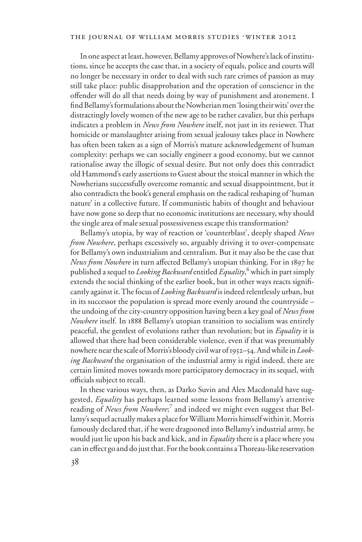#### THE JOURNAL OF WILLIAM MORRIS STUDIES .WINTER 2012

In one aspect at least, however, Bellamy approves of Nowhere's lack of institutions, since he accepts the case that, in a society of equals, police and courts will no longer be necessary in order to deal with such rare crimes of passion as may still take place: public disapprobation and the operation of conscience in the offender will do all that needs doing by way of punishment and atonement. I find Bellamy's formulations about the Nowherian men 'losing their wits' over the distractingly lovely women of the new age to be rather cavalier, but this perhaps indicates a problem in *News from Nowhere* itself, not just in its reviewer. That homicide or manslaughter arising from sexual jealousy takes place in Nowhere has often been taken as a sign of Morris's mature acknowledgement of human complexity: perhaps we can socially engineer a good economy, but we cannot rationalise away the illogic of sexual desire. But not only does this contradict old Hammond's early assertions to Guest about the stoical manner in which the Nowherians successfully overcome romantic and sexual disappointment, but it also contradicts the book's general emphasis on the radical reshaping of 'human nature' in a collective future. If communistic habits of thought and behaviour have now gone so deep that no economic institutions are necessary, why should the single area of male sexual possessiveness escape this transformation?

Bellamy's utopia, by way of reaction or 'counterblast', deeply shaped *News from Nowhere*, perhaps excessively so, arguably driving it to over-compensate for Bellamy's own industrialism and centralism. But it may also be the case that *News from Nowhere* in turn affected Bellamy's utopian thinking. For in 1897 he published a sequel to *Looking Backward* entitled *Equality*, 6 which in part simply extends the social thinking of the earlier book, but in other ways reacts significantly against it. The focus of *Looking Backward* is indeed relentlessly urban, but in its successor the population is spread more evenly around the countryside – the undoing of the city-country opposition having been a key goal of *News from Nowhere* itself. In 1888 Bellamy's utopian transition to socialism was entirely peaceful, the gentlest of evolutions rather than revolution; but in *Equality* it is allowed that there had been considerable violence, even if that was presumably nowhere near the scale of Morris's bloody civil war of 1952–54. And while in *Looking Backward* the organisation of the industrial army is rigid indeed, there are certain limited moves towards more participatory democracy in its sequel, with officials subject to recall.

In these various ways, then, as Darko Suvin and Alex Macdonald have suggested, *Equality* has perhaps learned some lessons from Bellamy's attentive reading of *News from Nowhere*;<sup>7</sup> and indeed we might even suggest that Bellamy's sequel actually makes a place for William Morris himself within it. Morris famously declared that, if he were dragooned into Bellamy's industrial army, he would just lie upon his back and kick, and in *Equality* there is a place where you can in effect go and do just that. For the book contains a Thoreau-like reservation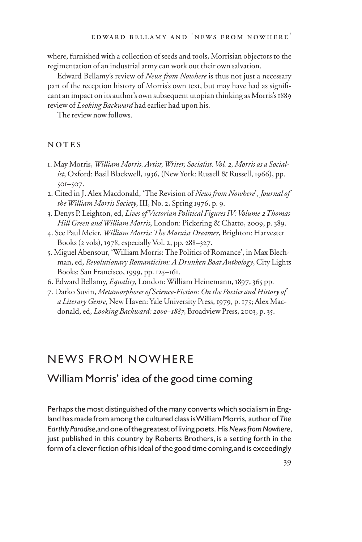where, furnished with a collection of seeds and tools, Morrisian objectors to the regimentation of an industrial army can work out their own salvation.

Edward Bellamy's review of *News from Nowhere* is thus not just a necessary part of the reception history of Morris's own text, but may have had as significant an impact on its author's own subsequent utopian thinking as Morris's 1889 review of *Looking Backward* had earlier had upon his.

The review now follows.

#### NOTES

- 1. May Morris, *William Morris, Artist, Writer, Socialist. Vol. 2, Morris as a Socialist*, Oxford: Basil Blackwell, 1936, (New York: Russell & Russell, 1966), pp. 501–507.
- 2. Cited in J. Alex Macdonald, 'The Revision of *News from Nowhere*', *Journal of the William Morris Society*, III, No. 2, Spring 1976, p. 9.
- 3. Denys P. Leighton, ed, *Lives of Victorian Political Figures IV: Volume 2 Thomas Hill Green and William Morris*, London: Pickering & Chatto, 2009, p. 389.
- 4. See Paul Meier, *William Morris: The Marxist Dreamer*, Brighton: Harvester Books (2 vols), 1978, especially Vol. 2, pp. 288–327.
- 5. Miguel Abensour, 'William Morris: The Politics of Romance', in Max Blechman, ed, *Revolutionary Romanticism: A Drunken Boat Anthology*, City Lights Books: San Francisco, 1999, pp. 125–161.
- 6. Edward Bellamy, *Equality*, London: William Heinemann, 1897, 365 pp.
- 7. Darko Suvin, *Metamorphoses of Science-Fiction: On the Poetics and History of a Literary Genre*, New Haven: Yale University Press, 1979, p. 175; Alex Macdonald, ed, *Looking Backward: 2000–1887*, Broadview Press, 2003, p. 35.

# NEWS FROM NOWHERE

## William Morris' idea of the good time coming

Perhaps the most distinguished of the many converts which socialism in England has made from among the cultured class is William Morris, author of *The Earthly Paradise*, and one of the greatest of living poets. His *News from Nowhere*, just published in this country by Roberts Brothers, is a setting forth in the form of a clever fiction of his ideal of the good time coming, and is exceedingly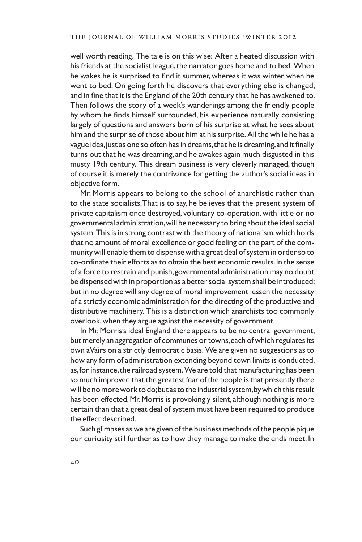well worth reading. The tale is on this wise: After a heated discussion with his friends at the socialist league, the narrator goes home and to bed. When he wakes he is surprised to find it summer, whereas it was winter when he went to bed. On going forth he discovers that everything else is changed, and in fine that it is the England of the 20th century that he has awakened to. Then follows the story of a week's wanderings among the friendly people by whom he finds himself surrounded, his experience naturally consisting largely of questions and answers born of his surprise at what he sees about him and the surprise of those about him at his surprise. All the while he has a vague idea, just as one so often has in dreams, that he is dreaming, and it finally turns out that he was dreaming, and he awakes again much disgusted in this musty 19th century. This dream business is very cleverly managed, though of course it is merely the contrivance for getting the author's social ideas in objective form.

Mr. Morris appears to belong to the school of anarchistic rather than to the state socialists. That is to say, he believes that the present system of private capitalism once destroyed, voluntary co-operation, with little or no governmental administration, will be necessary to bring about the ideal social system. This is in strong contrast with the theory of nationalism, which holds that no amount of moral excellence or good feeling on the part of the community will enable them to dispense with a great deal of system in order so to co-ordinate their efforts as to obtain the best economic results. In the sense of a force to restrain and punish, governmental administration may no doubt be dispensed with in proportion as a better social system shall be introduced; but in no degree will any degree of moral improvement lessen the necessity of a strictly economic administration for the directing of the productive and distributive machinery. This is a distinction which anarchists too commonly overlook, when they argue against the necessity of government.

In Mr. Morris's ideal England there appears to be no central government, but merely an aggregation of communes or towns, each of which regulates its own aVairs on a strictly democratic basis. We are given no suggestions as to how any form of administration extending beyond town limits is conducted, as, for instance, the railroad system. We are told that manufacturing has been so much improved that the greatest fear of the people is that presently there will be no more work to do; but as to the industrial system, by which this result has been effected, Mr. Morris is provokingly silent, although nothing is more certain than that a great deal of system must have been required to produce the effect described.

Such glimpses as we are given of the business methods of the people pique our curiosity still further as to how they manage to make the ends meet. In